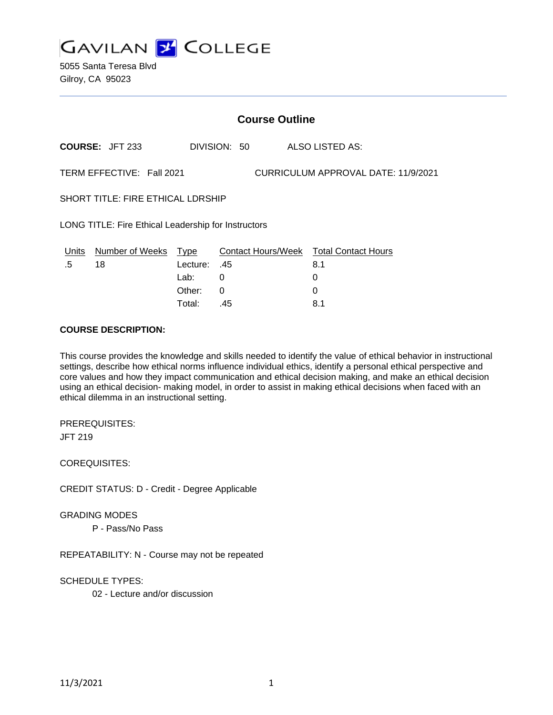

5055 Santa Teresa Blvd Gilroy, CA 95023

|                                                                  | <b>Course Outline</b>            |                  |              |  |                                                    |
|------------------------------------------------------------------|----------------------------------|------------------|--------------|--|----------------------------------------------------|
|                                                                  | <b>COURSE: JFT 233</b>           |                  | DIVISION: 50 |  | ALSO LISTED AS:                                    |
| CURRICULUM APPROVAL DATE: 11/9/2021<br>TERM EFFECTIVE: Fall 2021 |                                  |                  |              |  |                                                    |
| <b>SHORT TITLE: FIRE ETHICAL LDRSHIP</b>                         |                                  |                  |              |  |                                                    |
| LONG TITLE: Fire Ethical Leadership for Instructors              |                                  |                  |              |  |                                                    |
| .5                                                               | Units Number of Weeks Type<br>18 | Lecture:<br>Lab: | .45<br>0     |  | Contact Hours/Week Total Contact Hours<br>8.1<br>0 |
|                                                                  |                                  | Other:           | 0            |  | 0                                                  |
|                                                                  |                                  | Total:           | .45          |  | 8.1                                                |

#### **COURSE DESCRIPTION:**

This course provides the knowledge and skills needed to identify the value of ethical behavior in instructional settings, describe how ethical norms influence individual ethics, identify a personal ethical perspective and core values and how they impact communication and ethical decision making, and make an ethical decision using an ethical decision- making model, in order to assist in making ethical decisions when faced with an ethical dilemma in an instructional setting.

PREREQUISITES:

JFT 219

COREQUISITES:

CREDIT STATUS: D - Credit - Degree Applicable

GRADING MODES

P - Pass/No Pass

REPEATABILITY: N - Course may not be repeated

SCHEDULE TYPES:

02 - Lecture and/or discussion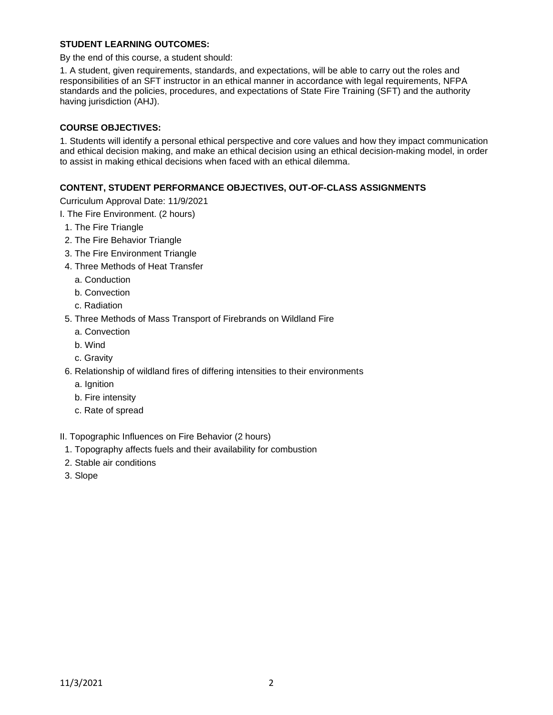## **STUDENT LEARNING OUTCOMES:**

By the end of this course, a student should:

1. A student, given requirements, standards, and expectations, will be able to carry out the roles and responsibilities of an SFT instructor in an ethical manner in accordance with legal requirements, NFPA standards and the policies, procedures, and expectations of State Fire Training (SFT) and the authority having jurisdiction (AHJ).

#### **COURSE OBJECTIVES:**

1. Students will identify a personal ethical perspective and core values and how they impact communication and ethical decision making, and make an ethical decision using an ethical decision-making model, in order to assist in making ethical decisions when faced with an ethical dilemma.

#### **CONTENT, STUDENT PERFORMANCE OBJECTIVES, OUT-OF-CLASS ASSIGNMENTS**

Curriculum Approval Date: 11/9/2021

I. The Fire Environment. (2 hours)

- 1. The Fire Triangle
- 2. The Fire Behavior Triangle
- 3. The Fire Environment Triangle
- 4. Three Methods of Heat Transfer
	- a. Conduction
	- b. Convection
	- c. Radiation
- 5. Three Methods of Mass Transport of Firebrands on Wildland Fire
	- a. Convection
	- b. Wind
	- c. Gravity
- 6. Relationship of wildland fires of differing intensities to their environments
	- a. Ignition
	- b. Fire intensity
	- c. Rate of spread

II. Topographic Influences on Fire Behavior (2 hours)

- 1. Topography affects fuels and their availability for combustion
- 2. Stable air conditions
- 3. Slope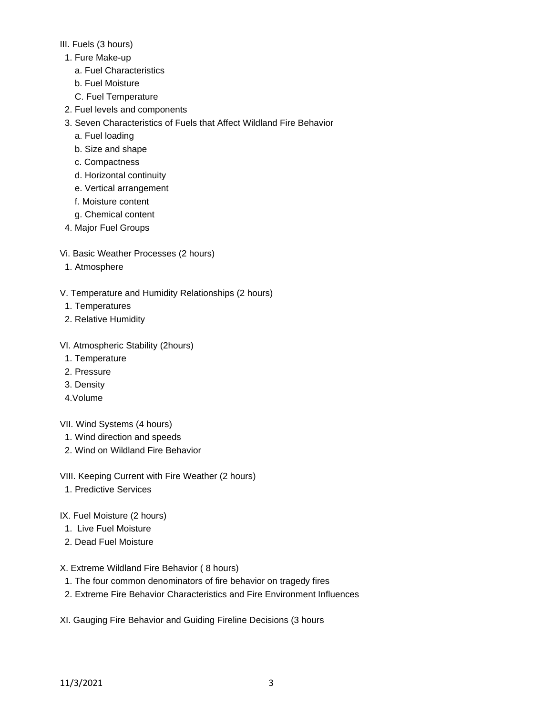# III. Fuels (3 hours)

- 1. Fure Make-up
	- a. Fuel Characteristics
	- b. Fuel Moisture
	- C. Fuel Temperature
- 2. Fuel levels and components
- 3. Seven Characteristics of Fuels that Affect Wildland Fire Behavior
	- a. Fuel loading
	- b. Size and shape
	- c. Compactness
	- d. Horizontal continuity
	- e. Vertical arrangement
	- f. Moisture content
	- g. Chemical content
- 4. Major Fuel Groups
- Vi. Basic Weather Processes (2 hours)
- 1. Atmosphere
- V. Temperature and Humidity Relationships (2 hours)
- 1. Temperatures
- 2. Relative Humidity
- VI. Atmospheric Stability (2hours)
- 1. Temperature
- 2. Pressure
- 3. Density
- 4.Volume
- VII. Wind Systems (4 hours)
- 1. Wind direction and speeds
- 2. Wind on Wildland Fire Behavior
- VIII. Keeping Current with Fire Weather (2 hours)
- 1. Predictive Services
- IX. Fuel Moisture (2 hours)
- 1. Live Fuel Moisture
- 2. Dead Fuel Moisture
- X. Extreme Wildland Fire Behavior ( 8 hours)
- 1. The four common denominators of fire behavior on tragedy fires
- 2. Extreme Fire Behavior Characteristics and Fire Environment Influences
- XI. Gauging Fire Behavior and Guiding Fireline Decisions (3 hours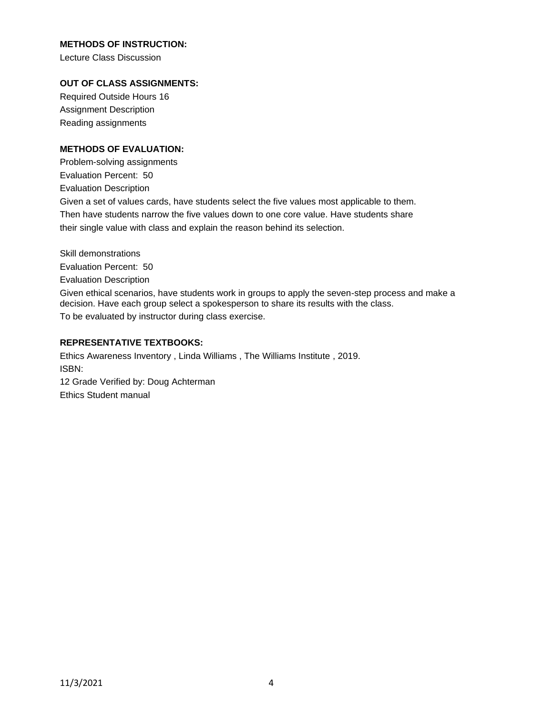## **METHODS OF INSTRUCTION:**

Lecture Class Discussion

## **OUT OF CLASS ASSIGNMENTS:**

Required Outside Hours 16 Assignment Description Reading assignments

## **METHODS OF EVALUATION:**

Problem-solving assignments Evaluation Percent: 50 Evaluation Description Given a set of values cards, have students select the five values most applicable to them. Then have students narrow the five values down to one core value. Have students share their single value with class and explain the reason behind its selection.

Skill demonstrations Evaluation Percent: 50 Evaluation Description Given ethical scenarios, have students work in groups to apply the seven-step process and make a decision. Have each group select a spokesperson to share its results with the class. To be evaluated by instructor during class exercise.

## **REPRESENTATIVE TEXTBOOKS:**

Ethics Awareness Inventory , Linda Williams , The Williams Institute , 2019. ISBN: 12 Grade Verified by: Doug Achterman

Ethics Student manual